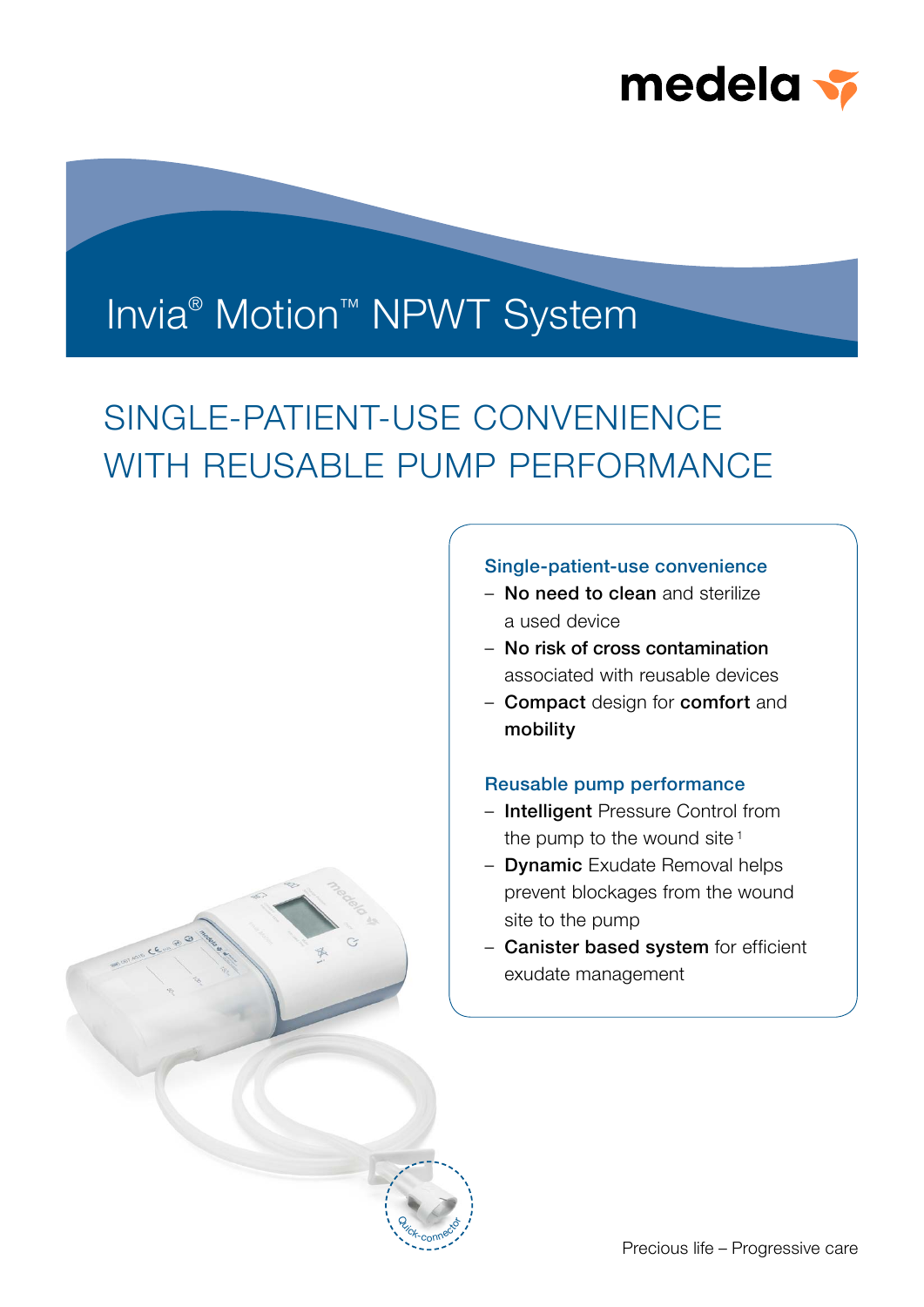

## Invia<sup>®</sup> Motion<sup>™</sup> NPWT System

# SINGLE-PATIENT-USE CONVENIENCE WITH REUSABLE PUMP PERFORMANCE



- No need to clean and sterilize a used device
- No risk of cross contamination associated with reusable devices
- Compact design for comfort and mobility

### Reusable pump performance

- Intelligent Pressure Control from the pump to the wound site  $1$
- Dynamic Exudate Removal helps prevent blockages from the wound site to the pump
- Canister based system for efficient exudate management